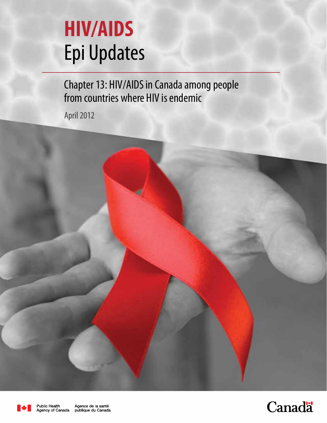# **HIV/AIDS**  Epi Updates

Chapter 13: HIV/AIDS in Canada among people from countries where HIV is endemic

April 2012



Public Health

Agence de la santé Agency of Canada publique du Canada

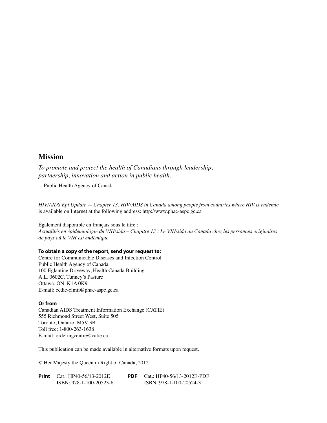#### **Mission**

*To promote and protect the health of Canadians through leadership, partnership, innovation and action in public health.*

—Public Health Agency of Canada

*HIV/AIDS Epi Update — Chapter 13: HIV/AIDS in Canada among people from countries where HIV is endemic*  is available on Internet at the following address: http://www.phac-aspc.gc.ca

Également disponible en français sous le titre : *Actualités en épidémiologie du VIH/sida – Chapitre 13 : Le VIH/sida au Canada chez les personnes originaires de pays où le VIH est endémique*

#### **To obtain a copy of the report, send your request to:**

Centre for Communicable Diseases and Infection Control Public Health Agency of Canada 100 Eglantine Driveway, Health Canada Building A.L. 0602C, Tunney's Pasture Ottawa, ON K1A 0K9 E-mail: ccdic-clmti@phac-aspc.gc.ca

#### **Or from**

Canadian AIDS Treatment Information Exchange (CATIE) 555 Richmond Street West, Suite 505 Toronto, Ontario M5V 3B1 Toll free: 1-800-263-1638 E-mail: orderingcentre@catie.ca

This publication can be made available in alternative formats upon request.

© Her Majesty the Queen in Right of Canada, 2012

| <b>Print</b> Cat.: HP40-56/13-2012E | <b>PDF</b> $Cat: HP40-56/13-2012E-PDF$ |
|-------------------------------------|----------------------------------------|
| ISBN: 978-1-100-20523-6             | ISBN: 978-1-100-20524-3                |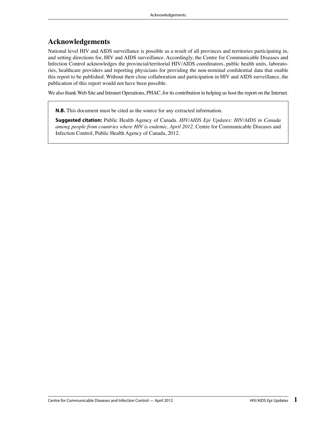# **Acknowledgements**

National level HIV and AIDS surveillance is possible as a result of all provinces and territories participating in, and setting directions for, HIV and AIDS surveillance. Accordingly, the Centre for Communicable Diseases and Infection Control acknowledges the provincial/territorial HIV/AIDS coordinators, public health units, laboratories, healthcare providers and reporting physicians for providing the non-nominal confidential data that enable this report to be published. Without their close collaboration and participation in HIV and AIDS surveillance, the publication of this report would not have been possible.

We also thank Web Site and Intranet Operations, PHAC, for its contribution in helping us host the report on the Internet.

**N.B.** This document must be cited as the source for any extracted information.

**Suggested citation:** Public Health Agency of Canada. *HIV/AIDS Epi Updates: HIV/AIDS in Canada among people from countries where HIV is endemic, April 2012,* Centre for Communicable Diseases and Infection Control, Public Health Agency of Canada, 2012.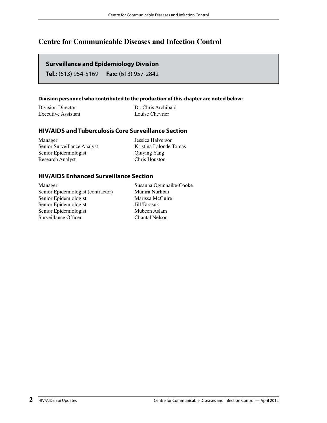# **Centre for Communicable Diseases and Infection Control**

#### **Surveillance and Epidemiology Division**

**Tel.:** (613) 954-5169 **Fax:** (613) 957-2842

#### **Division personnel who contributed to the production of this chapter are noted below:**

| Division Director   | Dr. Chris Archibald |
|---------------------|---------------------|
| Executive Assistant | Louise Chevrier     |

#### **HIV/AIDS and Tuberculosis Core Surveillance Section**

Manager Jessica Halverson Senior Surveillance Analyst Kristina Lalonde Tomas Senior Epidemiologist Qiuying Yang Research Analyst Chris Houston

#### **HIV/AIDS Enhanced Surveillance Section**

Manager Susanna Ogunnaike-Cooke<br>Senior Epidemiologist (contractor) Munira Nurhbai Senior Epidemiologist (contractor) Munira Nurhbai<br>
Senior Epidemiologist Marissa McGuire Senior Epidemiologist Senior Epidemiologist Jill Tarasuk Senior Epidemiologist Mubeen Aslam Surveillance Officer Chantal Nelson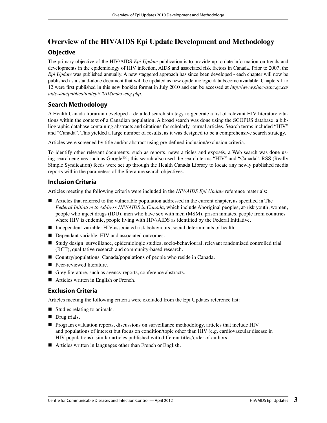# **Overview of the HIV/AIDS Epi Update Development and Methodology**

#### **Objective**

The primary objective of the HIV/AIDS *Epi Update* publication is to provide up-to-date information on trends and developments in the epidemiology of HIV infection, AIDS and associated risk factors in Canada. Prior to 2007, the *Epi Update* was published annually. A new staggered approach has since been developed - each chapter will now be published as a stand-alone document that will be updated as new epidemiologic data become available. Chapters 1 to 12 were first published in this new booklet format in July 2010 and can be accessed at http://www.phac-aspc.gc.ca/ *aids-sida/publication/epi/2010/index-eng.php*.

#### **Search Methodology**

A Health Canada librarian developed a detailed search strategy to generate a list of relevant HIV literature citations within the context of a Canadian population. A broad search was done using the SCOPUS database, a bibliographic database containing abstracts and citations for scholarly journal articles. Search terms included "HIV" and "Canada". This yielded a large number of results, as it was designed to be a comprehensive search strategy.

Articles were screened by title and/or abstract using pre-defined inclusion/exclusion criteria.

To identify other relevant documents, such as reports, news articles and exposés, a Web search was done using search engines such as Google™; this search also used the search terms "HIV" and "Canada". RSS (Really Simple Syndication) feeds were set up through the Health Canada Library to locate any newly published media reports within the parameters of the literature search objectives.

#### **Inclusion Criteria**

Articles meeting the following criteria were included in the *HIV/AIDS Epi Update* reference materials:

- $\blacksquare$  Articles that referred to the vulnerable population addressed in the current chapter, as specified in The *Federal Initiative to Address HIV/AIDS in Canada*, which include Aboriginal peoples, at-risk youth, women, people who inject drugs (IDU), men who have sex with men (MSM), prison inmates, people from countries where HIV is endemic, people living with HIV/AIDS as identified by the Federal Initiative.
- Independent variable: HIV-associated risk behaviours, social determinants of health.
- **Dependant variable: HIV and associated outcomes.**
- Study design: surveillance, epidemiologic studies, socio-behavioural, relevant randomized controlled trial (RCT), qualitative research and community-based research.
- Country/populations: Canada/populations of people who reside in Canada.
- **Peer-reviewed literature.**
- Grey literature, such as agency reports, conference abstracts.
- Articles written in English or French.

#### **Exclusion Criteria**

Articles meeting the following criteria were excluded from the Epi Updates reference list:

- Studies relating to animals.
- Drug trials.
- **Program evaluation reports, discussions on surveillance methodology, articles that include HIV** and populations of interest but focus on condition/topic other than HIV (e.g. cardiovascular disease in HIV populations), similar articles published with different titles/order of authors.
- Articles written in languages other than French or English.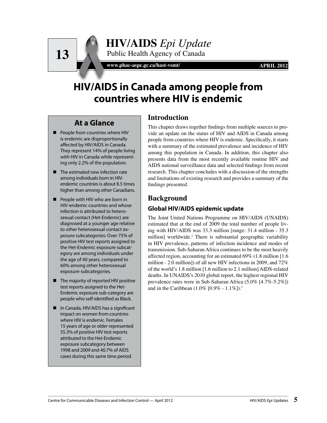www.phac-aspc.gc.ca/hast-vsmt/ **APRIL 2012** 

# **HIV/AIDS in Canada among people from countries where HIV is endemic**

# **At a Glance**

**13**

- **People from countries where HIV** is endemic are disproportionally affected by HIV/AIDS in Canada. They represent 14% of people living with HIV in Canada while representing only 2.2% of the population.
- The estimated new infection rate among individuals born in HIVendemic countries is about 8.5 times higher than among other Canadians.
- People with HIV who are born in HIV-endemic countries and whose infection is attributed to heterosexual contact (Het-Endemic) are diagnosed at a younger age relative to other heterosexual contact exposure subcategories: Over 75% of positive HIV test reports assigned to the Het-Endemic exposure subcategory are among individuals under the age of 40 years, compared to 60% among other heterosexual exposure subcategories.
- The majority of reported HIV positive test reports assigned to the Het-Endemic exposure sub-category are people who self-identified as Black.
- In Canada, HIV/AIDS has a significant impact on women from countries where HIV is endemic. Females 15 years of age or older represented 55.3% of positive HIV test reports attributed to the Het-Endemic exposure subcategory between 1998 and 2009 and 40.7% of AIDS cases during this same time period.

# **Introduction**

This chapter draws together findings from multiple sources to provide an update on the status of HIV and AIDS in Canada among people from countries where HIV is endemic. Specifically, it starts with a summary of the estimated prevalence and incidence of HIV among this population in Canada. In addition, this chapter also presents data from the most recently available routine HIV and AIDS national surveillance data and selected findings from recent research. This chapter concludes with a discussion of the strengths and limitations of existing research and provides a summary of the findings presented.

# **Background**

# **Global HIV/AIDS epidemic update**

The Joint United Nations Programme on HIV/AIDS (UNAIDS) estimated that at the end of 2009 the total number of people living with HIV/AIDS was 33.3 million [range: 31.4 million - 35.3 million] worldwide.<sup>1</sup> There is substantial geographic variability in HIV prevalence, patterns of infection incidence and modes of transmission. Sub-Saharan Africa continues to be the most heavily affected region, accounting for an estimated 69% (1.8 million [1.6 million - 2.0 million]) of all new HIV infections in 2009, and 72% of the world's 1.8 million [1.6 million to 2.1 million] AIDS-related deaths. In UNAIDS's 2010 global report, the highest regional HIV prevalence rates were in Sub-Saharan Africa (5.0% [4.7%-5.2%]) and in the Caribbean  $(1.0\%~[0.9\%~-1.1\%])$ .<sup>1</sup>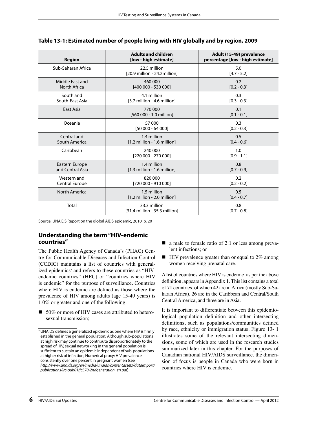| <b>Region</b>                        | <b>Adults and children</b><br>[low - high estimate]          | Adult (15-49) prevalence<br>percentage [low - high estimate] |
|--------------------------------------|--------------------------------------------------------------|--------------------------------------------------------------|
| Sub-Saharan Africa                   | 22.5 million<br>[20.9 million - 24.2million]                 | 5.0<br>$[4.7 - 5.2]$                                         |
| Middle East and<br>North Africa      | 460 000<br>[400 000 - 530 000]                               | 0.2<br>$[0.2 - 0.3]$                                         |
| South and<br>South-East Asia         | 4.1 million<br>[3.7 million - 4.6 million]                   | 0.3<br>$[0.3 - 0.3]$                                         |
| East Asia                            | 770 000<br>[560 000 - 1.0 million]                           | 0.1<br>$[0.1 - 0.1]$                                         |
| Oceania                              | 57 000<br>$[50000 - 64000]$                                  | 0.3<br>$[0.2 - 0.3]$                                         |
| Central and<br>South America         | 1.4 million<br>$[1.2 \text{ million} - 1.6 \text{ million}]$ | 0.5<br>$[0.4 - 0.6]$                                         |
| Caribbean                            | 240 000<br>[220 000 - 270 000]                               | 1.0<br>$[0.9 - 1.1]$                                         |
| Eastern Europe<br>and Central Asia   | 1.4 million<br>$[1.3$ million - 1.6 million]                 | 0.8<br>$[0.7 - 0.9]$                                         |
| Western and<br><b>Central Europe</b> | 820 000<br>[720 000 - 910 000]                               | 0.2<br>$[0.2 - 0.2]$                                         |
| North America                        | 1.5 million<br>$[1.2$ million - 2.0 million]                 | 0.5<br>$[0.4 - 0.7]$                                         |
| Total                                | 33.3 million<br>[31.4 million - 35.3 million]                | 0.8<br>$[0.7 - 0.8]$                                         |

#### **Table 13-1: Estimated number of people living with HIV globally and by region, 2009**

Source: UNAIDS Report on the global AIDS epidemic, 2010, p. 20

#### **Understanding the term "HIV-endemic countries"**

The Public Health Agency of Canada's (PHAC) Centre for Communicable Diseases and Infection Control (CCDIC) maintains a list of countries with generalized epidemics<sup>a</sup> and refers to these countries as "HIVendemic countries" (HEC) or "countries where HIV is endemic" for the purpose of surveillance. Countries where HIV is endemic are defined as those where the prevalence of HIV among adults (age 15-49 years) is 1.0% or greater and one of the following:

■ 50% or more of HIV cases are attributed to heterosexual transmission;

- a male to female ratio of 2:1 or less among prevalent infections; or
- $\blacksquare$  HIV prevalence greater than or equal to 2% among women receiving prenatal care.

A list of countries where HIV is endemic, as per the above definition, appears in Appendix 1. This list contains a total of 71 countries, of which 42 are in Africa (mostly Sub-Saharan Africa), 26 are in the Caribbean and Central/South Central America, and three are in Asia.

It is important to differentiate between this epidemiological population definition and other intersecting definitions, such as populations/communities defined by race, ethnicity or immigration status. Figure 13- 1 illustrates some of the relevant intersecting dimensions, some of which are used in the research studies summarized later in this chapter. For the purposes of Canadian national HIV/AIDS surveillance, the dimension of focus is people in Canada who were born in countries where HIV is endemic.

<sup>&</sup>lt;sup>a</sup> UNAIDS defines a generalized epidemic as one where HIV is firmly established in the general population; Although sub-populations at high risk may continue to contribute disproportionately to the spread of HIV, sexual networking in the general population is sufficient to sustain an epidemic independent of sub-populations at higher risk of infection; Numerical proxy: HIV prevalence consistently over one percent in pregnant women (see http://www.unaids.org/en/media/unaids/contentassets/dataimport/ publications/irc-pub01/jc370-2ndgeneration\_en.pdf)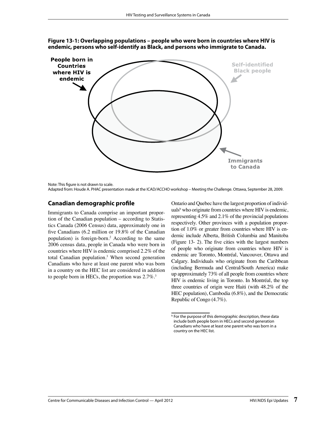

**Figure 13-1: Overlapping populations – people who were born in countries where HIV is endemic, persons who self-identify as Black, and persons who immigrate to Canada.**

Note: This figure is not drawn to scale.

#### **Canadian demographic profile**

Immigrants to Canada comprise an important proportion of the Canadian population – according to Statistics Canada (2006 Census) data, approximately one in five Canadians (6.2 million or  $19.8\%$  of the Canadian population) is foreign-born.2 According to the same 2006 census data, people in Canada who were born in countries where HIV is endemic comprised 2.2% of the total Canadian population.3 When second generation Canadians who have at least one parent who was born in a country on the HEC list are considered in addition to people born in HECs, the proportion was  $2.7\%$ <sup>3</sup>

Ontario and Quebec have the largest proportion of individuals<sup>b</sup> who originate from countries where HIV is endemic, representing 4.5% and 2.1% of the provincial populations respectively. Other provinces with a population proportion of 1.0% or greater from countries where HIV is endemic include Alberta, British Columbia and Manitoba (Figure 13- 2). The five cities with the largest numbers of people who originate from countries where HIV is endemic are Toronto, Montréal, Vancouver, Ottawa and Calgary. Individuals who originate from the Caribbean (including Bermuda and Central/South America) make up approximately 73% of all people from countries where HIV is endemic living in Toronto. In Montréal, the top three countries of origin were Haiti (with 48.2% of the HEC population), Cambodia (6.8%), and the Democratic Republic of Congo (4.7%).

Adapted from: Houde A. PHAC presentation made at the ICAD/ACCHO workshop – Meeting the Challenge. Ottawa, September 28, 2009.

**b** For the purpose of this demographic description, these data include both people born in HECs and second generation Canadians who have at least one parent who was born in a country on the HEC list.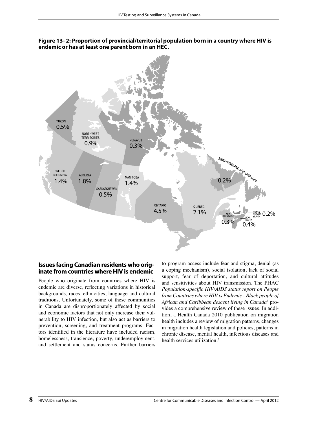**Figure 13- 2: Proportion of provincial/territorial population born in a country where HIV is endemic or has at least one parent born in an HEC.**



#### **Issues facing Canadian residents who originate from countries where HIV is endemic**

People who originate from countries where HIV is endemic are diverse, reflecting variations in historical backgrounds, races, ethnicities, language and cultural traditions. Unfortunately, some of these communities in Canada are disproportionately affected by social and economic factors that not only increase their vulnerability to HIV infection, but also act as barriers to prevention, screening, and treatment programs. Factors identified in the literature have included racism, homelessness, transience, poverty, underemployment, and settlement and status concerns. Further barriers

to program access include fear and stigma, denial (as a coping mechanism), social isolation, lack of social support, fear of deportation, and cultural attitudes and sensitivities about HIV transmission. The PHAC *Population-specific HIV/AIDS status report on People from Countries where HIV is Endemic - Black people of African and Caribbean descent living in Canada*<sup>4</sup> provides a comprehensive review of these issues. In addition, a Health Canada 2010 publication on migration health includes a review of migration patterns, changes in migration health legislation and policies, patterns in chronic disease, mental health, infectious diseases and health services utilization<sup>5</sup>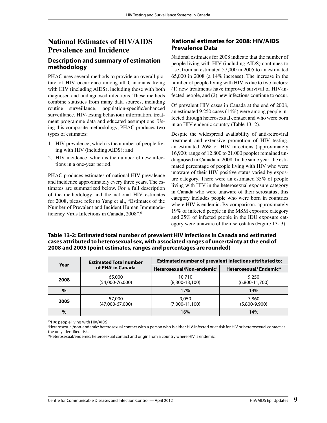# **National Estimates of HIV/AIDS Prevalence and Incidence**

#### **Description and summary of estimation methodology**

PHAC uses several methods to provide an overall picture of HIV occurrence among all Canadians living with HIV (including AIDS), including those with both diagnosed and undiagnosed infections. These methods combine statistics from many data sources, including routine surveillance, population-specific/enhanced surveillance, HIV-testing behaviour information, treatment programme data and educated assumptions. Using this composite methodology, PHAC produces two types of estimates:

- 1. HIV prevalence, which is the number of people living with HIV (including AIDS); and
- 2. HIV incidence, which is the number of new infections in a one-year period.

PHAC produces estimates of national HIV prevalence and incidence approximately every three years. The estimates are summarized below. For a full description of the methodology and the national HIV estimates for 2008, please refer to Yang et al., "Estimates of the Number of Prevalent and Incident Human Immunodeficiency Virus Infections in Canada, 2008".<sup>6</sup>

#### **National estimates for 2008: HIV/AIDS Prevalence Data**

National estimates for 2008 indicate that the number of people living with HIV (including AIDS) continues to rise, from an estimated 57,000 in 2005 to an estimated 65,000 in 2008 (a 14% increase). The increase in the number of people living with HIV is due to two factors: (1) new treatments have improved survival of HIV-infected people, and (2) new infections continue to occur.

Of prevalent HIV cases in Canada at the end of 2008, an estimated 9,250 cases (14%) were among people infected through heterosexual contact and who were born in an HIV-endemic country (Table 13- 2).

Despite the widespread availability of anti-retroviral treatment and extensive promotion of HIV testing, an estimated 26% of HIV infections (approximately 16,900; range of 12,800 to 21,000 people) remained undiagnosed in Canada in 2008. In the same year, the estimated percentage of people living with HIV who were unaware of their HIV positive status varied by exposure category. There were an estimated 35% of people living with HIV in the heterosexual exposure category in Canada who were unaware of their serostatus; this category includes people who were born in countries where HIV is endemic. By comparison, approximately 19% of infected people in the MSM exposure category and 25% of infected people in the IDU exposure category were unaware of their serostatus (Figure 13- 3).

**Table 13-2: Estimated total number of prevalent HIV infections in Canada and estimated cases attributed to heterosexual sex, with associated ranges of uncertainty at the end of 2008 and 2005 (point estimates, ranges and percentages are rounded)**

| Year | <b>Estimated Total number</b><br>of PHA' in Canada | Estimated number of prevalent infections attributed to: |                           |  |
|------|----------------------------------------------------|---------------------------------------------------------|---------------------------|--|
|      |                                                    | Heterosexual/Non-endemicii                              | Heterosexual/Endemiciii   |  |
| 2008 | 65,000<br>$(54,000-76,000)$                        | 10,710<br>$(8,300-13,100)$                              | 9,250<br>$(6,800-11,700)$ |  |
| $\%$ |                                                    | 17%                                                     | 14%                       |  |
| 2005 | 57,000<br>$(47,000-67,000)$                        | 9.050<br>$(7,000-11,100)$                               | 7.860<br>$(5,800-9,900)$  |  |
| $\%$ |                                                    | 16%                                                     | 14%                       |  |

i PHA: people living with HIV/AIDS

<sup>ii</sup>Heterosexual/non-endemic: heterosexual contact with a person who is either HIV-infected or at risk for HIV or heterosexual contact as

the only identified risk.<br>"Heterosexual/endemic: heterosexual contact and origin from a country where HIV is endemic.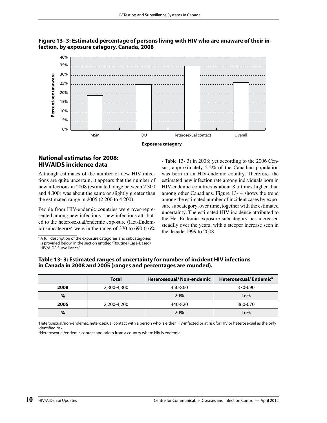

#### **Figure 13- 3: Estimated percentage of persons living with HIV who are unaware of their infection, by exposure category, Canada, 2008**

**Exposure category**

#### **National estimates for 2008: HIV/AIDS incidence data**

Although estimates of the number of new HIV infections are quite uncertain, it appears that the number of new infections in 2008 (estimated range between 2,300 and 4,300) was about the same or slightly greater than the estimated range in 2005 (2,200 to 4,200).

People from HIV-endemic countries were over-represented among new infections - new infections attributed to the heterosexual/endemic exposure (Het-Endemic) subcategory<sup>c</sup> were in the range of 370 to 690 (16%)

<sup>c</sup> A full description of the exposure categories and subcategories is provided below, in the section entitled "Routine (Case-Based) HIV/AIDS Surveillance".

- Table 13- 3) in 2008; yet according to the 2006 Census, approximately 2.2% of the Canadian population was born in an HIV-endemic country. Therefore, the estimated new infection rate among individuals born in HIV-endemic countries is about 8.5 times higher than among other Canadians. Figure 13- 4 shows the trend among the estimated number of incident cases by exposure subcategory, over time, together with the estimated uncertainty. The estimated HIV incidence attributed to the Het-Endemic exposure subcategory has increased steadily over the years, with a steeper increase seen in the decade 1999 to 2008.

| Table 13-3: Estimated ranges of uncertainty for number of incident HIV infections |  |
|-----------------------------------------------------------------------------------|--|
| in Canada in 2008 and 2005 (ranges and percentages are rounded).                  |  |

|      | <b>Total</b> | Heterosexual/Non-endemici | Heterosexual/Endemici |
|------|--------------|---------------------------|-----------------------|
| 2008 | 2,300-4,300  | 450-860                   | 370-690               |
| $\%$ |              | 20%                       | 16%                   |
| 2005 | 2,200-4,200  | 440-820                   | 360-670               |
| $\%$ |              | 20%                       | 16%                   |

i Heterosexual/non-endemic: heterosexual contact with a person who is either HIV-infected or at risk for HIV or heterosexual as the only

identified risk.<br>"Heterosexual/endemic contact and origin from a country where HIV is endemic.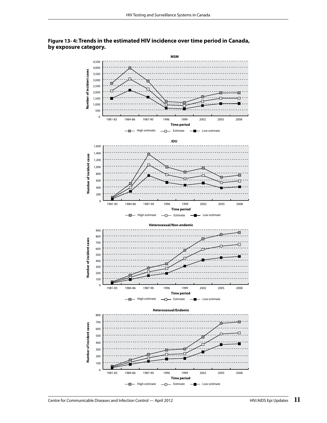

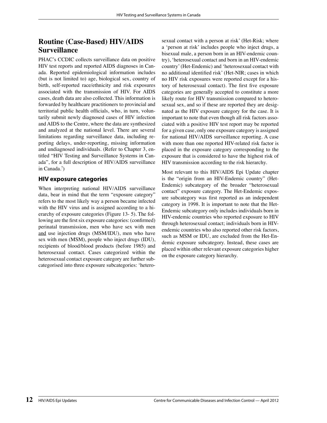# **Routine (Case-Based) HIV/AIDS Surveillance**

PHAC's CCDIC collects surveillance data on positive HIV test reports and reported AIDS diagnoses in Canada. Reported epidemiological information includes (but is not limited to) age, biological sex, country of birth, self-reported race/ethnicity and risk exposures associated with the transmission of HIV. For AIDS cases, death data are also collected. This information is forwarded by healthcare practitioners to provincial and territorial public health officials, who, in turn, voluntarily submit newly diagnosed cases of HIV infection and AIDS to the Centre, where the data are synthesized and analyzed at the national level. There are several limitations regarding surveillance data, including reporting delays, under-reporting, missing information and undiagnosed individuals. (Refer to Chapter 3, entitled "HIV Testing and Surveillance Systems in Canada", for a full description of HIV/AIDS surveillance in Canada.7 )

#### **HIV exposure categories**

When interpreting national HIV/AIDS surveillance data, bear in mind that the term "exposure category" refers to the most likely way a person became infected with the HIV virus and is assigned according to a hierarchy of exposure categories (Figure 13- 5). The following are the first six exposure categories: (confirmed) perinatal transmission, men who have sex with men and use injection drugs (MSM/IDU), men who have sex with men (MSM), people who inject drugs (IDU), recipients of blood/blood products (before 1985) and heterosexual contact. Cases categorized within the heterosexual contact exposure category are further subcategorised into three exposure subcategories: 'hetero-

sexual contact with a person at risk' (Het-Risk; where a 'person at risk' includes people who inject drugs, a bisexual male, a person born in an HIV-endemic country), 'heterosexual contact and born in an HIV-endemic country' (Het-Endemic) and 'heterosexual contact with no additional identified risk' (Het-NIR; cases in which no HIV risk exposures were reported except for a history of heterosexual contact). The first five exposure categories are generally accepted to constitute a more likely route for HIV transmission compared to heterosexual sex, and so if these are reported they are designated as the HIV exposure category for the case. It is important to note that even though all risk factors associated with a positive HIV test report may be reported for a given case, only one exposure category is assigned for national HIV/AIDS surveillance reporting. A case with more than one reported HIV-related risk factor is placed in the exposure category corresponding to the exposure that is considered to have the highest risk of HIV transmission according to the risk hierarchy.

Most relevant to this HIV/AIDS Epi Update chapter is the "origin from an HIV-Endemic country" (Het-Endemic) subcategory of the broader "heterosexual contact" exposure category. The Het-Endemic exposure subcategory was first reported as an independent category in 1998. It is important to note that the Het-Endemic subcategory only includes individuals born in HIV-endemic countries who reported exposure to HIV through heterosexual contact; individuals born in HIVendemic countries who also reported other risk factors, such as MSM or IDU, are excluded from the Het-Endemic exposure subcategory. Instead, these cases are placed within other relevant exposure categories higher on the exposure category hierarchy.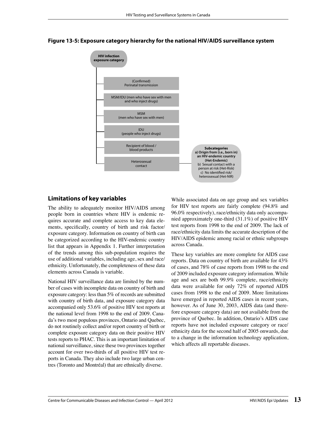

#### **Figure 13-5: Exposure category hierarchy for the national HIV/AIDS surveillance system**

#### **Limitations of key variables**

The ability to adequately monitor HIV/AIDS among people born in countries where HIV is endemic requires accurate and complete access to key data elements, specifically, country of birth and risk factor/ exposure category. Information on country of birth can be categorized according to the HIV-endemic country list that appears in Appendix 1. Further interpretation of the trends among this sub-population requires the use of additional variables, including age, sex and race/ ethnicity. Unfortunately, the completeness of these data elements across Canada is variable.

National HIV surveillance data are limited by the number of cases with incomplete data on country of birth and exposure category: less than 5% of records are submitted with country of birth data, and exposure category data accompanied only 53.6% of positive HIV test reports at the national level from 1998 to the end of 2009. Canada's two most populous provinces, Ontario and Quebec, do not routinely collect and/or report country of birth or complete exposure category data on their positive HIV tests reports to PHAC. This is an important limitation of national surveillance, since these two provinces together account for over two-thirds of all positive HIV test reports in Canada. They also include two large urban centres (Toronto and Montréal) that are ethnically diverse.

While associated data on age group and sex variables for HIV test reports are fairly complete (94.8% and 96.0% respectively), race/ethnicity data only accompanied approximately one-third (31.1%) of positive HIV test reports from 1998 to the end of 2009. The lack of race/ethnicity data limits the accurate description of the HIV/AIDS epidemic among racial or ethnic subgroups across Canada.

These key variables are more complete for AIDS case reports. Data on country of birth are available for 43% of cases, and 78% of case reports from 1998 to the end of 2009 included exposure category information. While age and sex are both 99.9% complete, race/ethnicity data were available for only 72% of reported AIDS cases from 1998 to the end of 2009. More limitations have emerged in reported AIDS cases in recent years, however. As of June 30, 2003, AIDS data (and therefore exposure category data) are not available from the province of Quebec. In addition, Ontario's AIDS case reports have not included exposure category or race/ ethnicity data for the second half of 2005 onwards, due to a change in the information technology application, which affects all reportable diseases.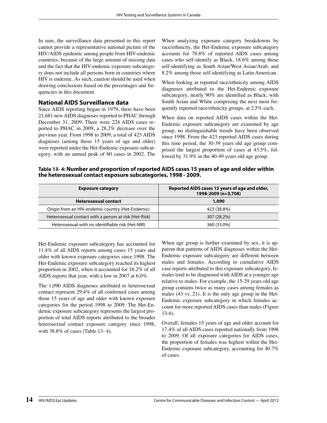In sum, the surveillance data presented in this report cannot provide a representative national picture of the HIV/AIDS epidemic among people from HIV-endemic countries, because of the large amount of missing data and the fact that the HIV-endemic exposure subcategory does not include all persons born in countries where HIV is endemic. As such, caution should be used when drawing conclusions based on the percentages and frequencies in this document.

#### **National AIDS Surveillance data**

Since AIDS reporting began in 1979, there have been 21,681 new AIDS diagnoses reported to PHAC through December 31, 2009. There were 224 AIDS cases reported to PHAC in 2009, a 28.2% decrease over the previous year. From 1998 to 2009, a total of 423 AIDS diagnoses (among those 15 years of age and older) were reported under the Het-Endemic exposure subcategory, with an annual peak of 60 cases in 2002. The

When analyzing exposure category breakdowns by race/ethnicity, the Het-Endemic exposure subcategory accounts for 78.8% of reported AIDS cases among cases who self-identify as Black, 18.6% among those self-identifying as South Asian/West Asian/Arab, and 8.2% among those self-identifying as Latin American.

When looking at reported race/ethnicity among AIDS diagnoses attributed to the Het-Endemic exposure subcategory, nearly  $90\%$  are identified as Black, with South Asian and White comprising the next most frequently reported race/ethnicity groups, at 2.5% each.

When data on reported AIDS cases within the Het-Endemic exposure subcategory are examined by age group, no distinguishable trends have been observed since 1998. From the 423 reported AIDS cases during this time period, the 30-39 years old age group comprised the largest proportion of cases at 43.5%, followed by 31.9% in the 40-49 years old age group.

**Table 13- 4: Number and proportion of reported AIDS cases 15 years of age and older within the heterosexual contact exposure subcategories, 1998 - 2009.**

| <b>Exposure category</b>                              | Reported AIDS cases 15 years of age and older,<br>1998-2009 (n=3,708) |
|-------------------------------------------------------|-----------------------------------------------------------------------|
| <b>Heterosexual contact</b>                           | 1,090                                                                 |
| Origin from an HIV-endemic country (Het-Endemic)      | 423 (38.8%)                                                           |
| Heterosexual contact with a person at risk (Het-Risk) | 307 (28.2%)                                                           |
| Heterosexual with no identifiable risk (Het-NIR)      | 360 (33.0%)                                                           |

Het-Endemic exposure subcategory has accounted for 11.4% of all AIDS reports among cases 15 years and older with known exposure categories since 1998. The Het-Endemic exposure subcategory reached its highest proportion in 2002, when it accounted for 16.2% of all AIDS reports that year, with a low in 2007 at 6.0%.

The 1,090 AIDS diagnoses attributed to heterosexual contact represent 29.4% of all confirmed cases among those 15 years of age and older with known exposure categories for the period 1998 to 2009. The Het-Endemic exposure subcategory represents the largest proportion of total AIDS reports attributed to the broader heterosexual contact exposure category since 1998, with 38.8% of cases (Table 13- 4).

When age group is further examined by sex, it is apparent that patterns of AIDS diagnoses within the Het-Endemic exposure subcategory are different between males and females. According to cumulative AIDS case reports attributed to this exposure subcategory, females tend to be diagnosed with AIDS at a younger age relative to males. For example, the 15-29 years old age group contains twice as many cases among females as males (43 vs. 21). It is the only age group in the Het-Endemic exposure subcategory in which females account for more reported AIDS cases than males (Figure 13-6).

Overall, females 15 years of age and older account for 17.4% of all AIDS cases reported nationally from 1998 to 2009. Of all exposure categories for AIDS cases, the proportion of females was highest within the Het-Endemic exposure subcategory, accounting for 40.7% of cases.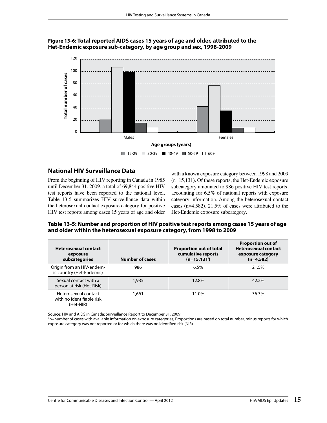#### **Figure 13-6: Total reported AIDS cases 15 years of age and older, attributed to the Het-Endemic exposure sub-category, by age group and sex, 1998-2009**



# **National HIV Surveillance Data**

From the beginning of HIV reporting in Canada in 1985 until December 31, 2009, a total of 69,844 positive HIV test reports have been reported to the national level. Table 13-5 summarizes HIV surveillance data within the heterosexual contact exposure category for positive HIV test reports among cases 15 years of age and older with a known exposure category between 1998 and 2009 (n=15,131). Of these reports, the Het-Endemic exposure subcategory amounted to 986 positive HIV test reports, accounting for 6.5% of national reports with exposure category information. Among the heterosexual contact cases (n=4,582), 21.5% of cases were attributed to the Het-Endemic exposure subcategory.

**Table 13-5: Number and proportion of HIV positive test reports among cases 15 years of age and older within the heterosexual exposure category, from 1998 to 2009** 

| <b>Heterosexual contact</b><br>exposure<br>subcategories       | <b>Number of cases</b> | <b>Proportion out of total</b><br>cumulative reports<br>$(n=15, 131)$ | <b>Proportion out of</b><br><b>Heterosexual contact</b><br>exposure category<br>$(n=4,582)$ |
|----------------------------------------------------------------|------------------------|-----------------------------------------------------------------------|---------------------------------------------------------------------------------------------|
| Origin from an HIV-endem-<br>ic country (Het-Endemic)          | 986                    | 6.5%                                                                  | 21.5%                                                                                       |
| Sexual contact with a<br>person at risk (Het-Risk)             | 1,935                  | 12.8%                                                                 | $42.2\%$                                                                                    |
| Heterosexual contact<br>with no identifiable risk<br>(Het-NIR) | 1.661                  | 11.0%                                                                 | 36.3%                                                                                       |

Source: HIV and AIDS in Canada: Surveillance Report to December 31, 2009

i n=number of cases with available information on exposure categories; Proportions are based on total number, minus reports for which exposure category was not reported or for which there was no identified risk (NIR)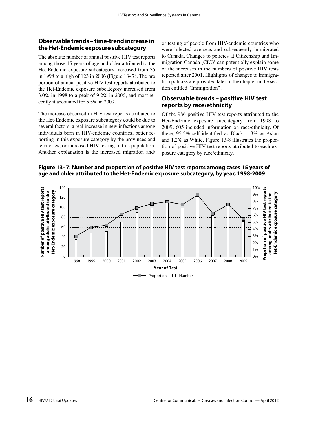#### **Observable trends – time-trend increase in the Het-Endemic exposure subcategory**

The absolute number of annual positive HIV test reports among those 15 years of age and older attributed to the Het-Endemic exposure subcategory increased from 35 in 1998 to a high of 123 in 2006 (Figure 13- 7). The pro portion of annual positive HIV test reports attributed to the Het-Endemic exposure subcategory increased from 3.0% in 1998 to a peak of 9.2% in 2006, and most recently it accounted for 5.5% in 2009.

The increase observed in HIV test reports attributed to the Het-Endemic exposure subcategory could be due to several factors: a real increase in new infections among individuals born in HIV-endemic countries, better reporting in this exposure category by the provinces and territories, or increased HIV testing in this population. Another explanation is the increased migration and/

or testing of people from HIV-endemic countries who were infected overseas and subsequently immigrated to Canada. Changes to policies at Citizenship and Immigration Canada (CIC)<sup>8</sup> can potentially explain some of the increases in the numbers of positive HIV tests reported after 2001. Highlights of changes to immigration policies are provided later in the chapter in the section entitled "Immigration".

#### **Observable trends – positive HIV test reports by race/ethnicity**

Of the 986 positive HIV test reports attributed to the Het-Endemic exposure subcategory from 1998 to 2009, 605 included information on race/ethnicity. Of these,  $95.5\%$  self-identified as Black,  $1.3\%$  as Asian and 1.2% as White. Figure 13-8 illustrates the proportion of positive HIV test reports attributed to each exposure category by race/ethnicity.

**Figure 13- 7: Number and proportion of positive HIV test reports among cases 15 years of age and older attributed to the Het-Endemic exposure subcategory, by year, 1998-2009**

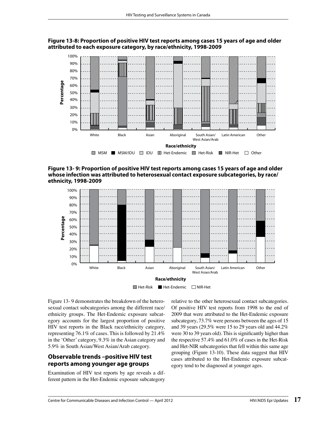



**Figure 13- 9: Proportion of positive HIV test reports among cases 15 years of age and older whose infection was attributed to heterosexual contact exposure subcategories, by race/ ethnicity, 1998-2009**



 $\blacksquare$  Het-Risk  $\blacksquare$  Het-Endemic  $\Box$  NIR-Het

Figure 13- 9 demonstrates the breakdown of the heterosexual contact subcategories among the different race/ ethnicity groups. The Het-Endemic exposure subcategory accounts for the largest proportion of positive HIV test reports in the Black race/ethnicity category, representing 76.1% of cases. This is followed by 21.4% in the 'Other' category, 9.3% in the Asian category and 5.9% in South Asian/West Asian/Arab category.

#### **Observable trends –positive HIV test reports among younger age groups**

Examination of HIV test reports by age reveals a different pattern in the Het-Endemic exposure subcategory relative to the other heterosexual contact subcategories. Of positive HIV test reports from 1998 to the end of 2009 that were attributed to the Het-Endemic exposure subcategory, 73.7% were persons between the ages of 15 and 39 years (29.5% were 15 to 29 years old and 44.2% were 30 to 39 years old). This is significantly higher than the respective 57.4% and 61.0% of cases in the Het-Risk and Het-NIR subcategories that fell within this same age grouping (Figure 13-10). These data suggest that HIV cases attributed to the Het-Endemic exposure subcategory tend to be diagnosed at younger ages.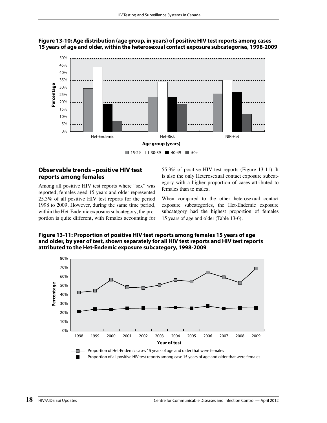

#### **Figure 13-10: Age distribution (age group, in years) of positive HIV test reports among cases 15 years of age and older, within the heterosexual contact exposure subcategories, 1998-2009**

#### **Observable trends –positive HIV test reports among females**

Among all positive HIV test reports where "sex" was reported, females aged 15 years and older represented 25.3% of all positive HIV test reports for the period 1998 to 2009. However, during the same time period, within the Het-Endemic exposure subcategory, the proportion is quite different, with females accounting for

55.3% of positive HIV test reports (Figure 13-11). It is also the only Heterosexual contact exposure subcategory with a higher proportion of cases attributed to females than to males.

When compared to the other heterosexual contact exposure subcategories, the Het-Endemic exposure subcategory had the highest proportion of females 15 years of age and older (Table 13-6).





- Proportion of all positive HIV test reports among case 15 years of age and older that were females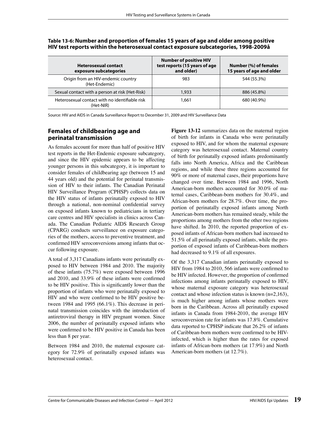| <b>Heterosexual contact</b><br>exposure subcategories       | <b>Number of positive HIV</b><br>test reports (15 years of age<br>and older) | Number (%) of females<br>15 years of age and older |
|-------------------------------------------------------------|------------------------------------------------------------------------------|----------------------------------------------------|
| Origin from an HIV-endemic country<br>(Het-Endemic)         | 983                                                                          | 544 (55.3%)                                        |
| Sexual contact with a person at risk (Het-Risk)             | 1,933                                                                        | 886 (45.8%)                                        |
| Heterosexual contact with no identifiable risk<br>(Het-NIR) | 1.661                                                                        | 680 (40.9%)                                        |

#### **Table 13-6: Number and proportion of females 15 years of age and older among positive HIV test reports within the heterosexual contact exposure subcategories, 1998-2009å**

Source: HIV and AIDS in Canada Surveillance Report to December 31, 2009 and HIV Surveillance Data

#### **Females of childbearing age and perinatal transmission**

As females account for more than half of positive HIV test reports in the Het-Endemic exposure subcategory, and since the HIV epidemic appears to be affecting younger persons in this subcategory, it is important to consider females of childbearing age (between 15 and 44 years old) and the potential for perinatal transmission of HIV to their infants. The Canadian Perinatal HIV Surveillance Program (CPHSP) collects data on the HIV status of infants perinatally exposed to HIV through a national, non-nominal confidential survey on exposed infants known to pediatricians in tertiary care centres and HIV specialists in clinics across Canada. The Canadian Pediatric AIDS Research Group (CPARG) conducts surveillance on exposure categories of the mothers, access to preventive treatment, and confirmed HIV seroconversions among infants that occur following exposure.

A total of 3,317 Canadians infants were perinatally exposed to HIV between 1984 and 2010. The majority of these infants (75.7%) were exposed between 1996 and 2010, and 33.9% of these infants were confirmed to be HIV positive. This is significantly lower than the proportion of infants who were perinatally exposed to HIV and who were confirmed to be HIV positive between 1984 and 1995 (66.1%). This decrease in perinatal transmission coincides with the introduction of antiretroviral therapy in HIV pregnant women. Since 2006, the number of perinatally exposed infants who were confirmed to be HIV positive in Canada has been less than 8 per year.

Between 1984 and 2010, the maternal exposure category for 72.9% of perinatally exposed infants was heterosexual contact.

**Figure 13-12** summarizes data on the maternal region of birth for infants in Canada who were perinatally exposed to HIV, and for whom the maternal exposure category was heterosexual contact. Maternal country of birth for perinatally exposed infants predominantly falls into North America, Africa and the Caribbean regions, and while these three regions accounted for 90% or more of maternal cases, their proportions have changed over time. Between 1984 and 1996, North American-born mothers accounted for 30.0% of maternal cases, Caribbean-born mothers for 30.4%, and African-born mothers for 28.7%. Over time, the proportion of perinatally exposed infants among North American-born mothers has remained steady, while the proportions among mothers from the other two regions have shifted. In 2010, the reported proportion of exposed infants of African-born mothers had increased to 51.5% of all perinatally exposed infants, while the proportion of exposed infants of Caribbean-born mothers had decreased to 9.1% of all exposures.

Of the 3,317 Canadian infants perinatally exposed to HIV from 1984 to 2010, 566 infants were confirmed to be HIV infected. However, the proportion of confirmed infections among infants perinatally exposed to HIV, whose maternal exposure category was heterosexual contact and whose infection status is known (n=2,163), is much higher among infants whose mothers were born in the Caribbean. Across all perinatally exposed infants in Canada from 1984-2010, the average HIV seroconversion rate for infants was 17.8%. Cumulative data reported to CPHSP indicate that 26.2% of infants of Caribbean-born mothers were confirmed to be HIVinfected, which is higher than the rates for exposed infants of African-born mothers (at 17.9%) and North American-born mothers (at 12.7%).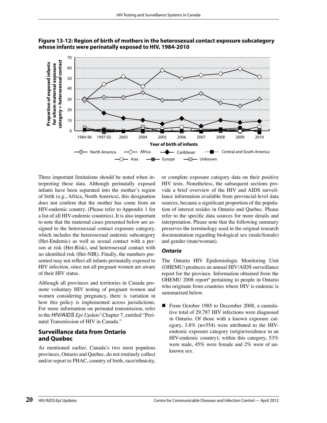



Three important limitations should be noted when interpreting these data. Although perinatally exposed infants have been separated into the mother's region of birth (e.g., Africa, North America), this designation does not confirm that the mother has come from an HIV-endemic country. (Please refer to Appendix 1 for a list of all HIV-endemic countries). It is also important to note that the maternal cases presented below are assigned to the heterosexual contact exposure category, which includes the heterosexual endemic subcategory (Het-Endemic) as well as sexual contact with a person at risk (Het-Risk), and heterosexual contact with no identified risk (Het-NIR). Finally, the numbers presented may not reflect all infants perinatally exposed to HIV infection, since not all pregnant women are aware of their HIV status.

Although all provinces and territories in Canada promote voluntary HIV testing of pregnant women and women considering pregnancy, there is variation in how this policy is implemented across jurisdictions. For more information on perinatal transmission, refer to the *HIV/AIDS Epi Update7* Chapter 7, entitled "Perinatal Transmission of HIV in Canada."

#### **Surveillance data from Ontario and Quebec**

As mentioned earlier, Canada's two most populous provinces, Ontario and Quebec, do not routinely collect and/or report to PHAC, country of birth, race/ethnicity,

or complete exposure category data on their positive HIV tests. Nonetheless, the subsequent sections provide a brief overview of the HIV and AIDS surveillance information available from provincial-level data sources, because a significant proportion of the population of interest resides in Ontario and Quebec. Please refer to the specific data sources for more details and interpretation. Please note that the following summary preserves the terminology used in the original research documentation regarding biological sex (male/female) and gender (man/woman).

#### **Ontario**

The Ontario HIV Epidemiologic Monitoring Unit (OHEMU) produces an annual HIV/AIDS surveillance report for the province. Information obtained from the OHEMU 2008 report<sup>9</sup> pertaining to people in Ontario who originate from countries where HIV is endemic is summarized below.

 From October 1985 to December 2008, a cumulative total of 29,787 HIV infections were diagnosed in Ontario. Of those with a known exposure category, 3.8% (n=554) were attributed to the HIVendemic exposure category (origin/residence in an HIV-endemic country); within this category, 53% were male, 45% were female and 2% were of unknown sex.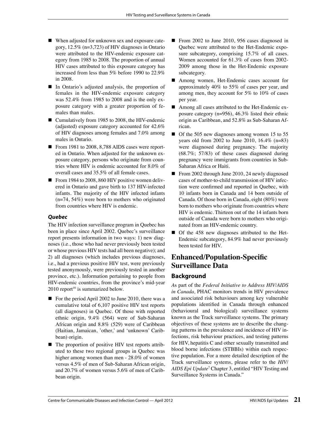- When adjusted for unknown sex and exposure category, 12.5% (n=3,723) of HIV diagnoses in Ontario were attributed to the HIV-endemic exposure category from 1985 to 2008. The proportion of annual HIV cases attributed to this exposure category has increased from less than 5% before 1990 to 22.9% in 2008.
- In Ontario's adjusted analysis, the proportion of females in the HIV-endemic exposure category was 52.4% from 1985 to 2008 and is the only exposure category with a greater proportion of females than males.
- Cumulatively from 1985 to 2008, the HIV-endemic (adjusted) exposure category accounted for 42.6% of HIV diagnoses among females and 7.0% among males in Ontario.
- From 1981 to 2008, 8,788 AIDS cases were reported in Ontario. When adjusted for the unknown exposure category, persons who originate from countries where HIV is endemic accounted for 8.0% of overall cases and 35.5% of all female cases.
- From 1984 to 2008, 860 HIV positive women delivered in Ontario and gave birth to 137 HIV-infected infants. The majority of the HIV infected infants (n=74, 54%) were born to mothers who originated from countries where HIV is endemic.

#### **Quebec**

The HIV infection surveillance program in Quebec has been in place since April 2002. Quebec's surveillance report presents information in two ways: 1) new diagnoses (i.e., those who had never previously been tested or whose previous HIV tests had all been negative); and 2) all diagnoses (which includes previous diagnoses, i.e., had a previous positive HIV test, were previously tested anonymously, were previously tested in another province, etc.). Information pertaining to people from HIV-endemic countries, from the province's mid-year  $2010$  report<sup>10</sup> is summarized below.

- For the period April 2002 to June 2010, there was a cumulative total of 6,107 positive HIV test reports (all diagnoses) in Quebec. Of those with reported ethnic origin, 9.4% (564) were of Sub-Saharan African origin and 8.8% (529) were of Caribbean (Haitian, Jamaican, 'other,' and 'unknown' Caribbean) origin.
- The proportion of positive HIV test reports attributed to these two regional groups in Quebec was higher among women than men - 28.0% of women versus 4.5% of men of Sub-Saharan African origin, and 20.7% of women versus 5.6% of men of Caribbean origin.
- From 2002 to June 2010, 956 cases diagnosed in Quebec were attributed to the Het-Endemic exposure subcategory, comprising 15.7% of all cases. Women accounted for 61.3% of cases from 2002- 2009 among those in the Het-Endemic exposure subcategory.
- Among women, Het-Endemic cases account for approximately 40% to 55% of cases per year, and among men, they account for 5% to 10% of cases per year.
- Among all cases attributed to the Het-Endemic exposure category (n=956), 46.3% listed their ethnic origin as Caribbean, and 52.8% as Sub-Saharan African.
- Of the 505 new diagnoses among women 15 to 55 years old from 2002 to June 2010, 16.4% (n=83) were diagnosed during pregnancy. The majority (68.7%; 57/83) of these cases diagnosed during pregnancy were immigrants from countries in Sub-Saharan Africa or Haiti.
- From 2002 through June 2010, 24 newly diagnosed cases of mother-to-child transmission of HIV infection were confirmed and reported in Quebec, with 10 infants born in Canada and 14 born outside of Canada. Of those born in Canada, eight (80%) were born to mothers who originate from countries where HIV is endemic. Thirteen out of the 14 infants born outside of Canada were born to mothers who originated from an HIV-endemic country.
- Of the 458 new diagnoses attributed to the Het-Endemic subcategory, 84.9% had never previously been tested for HIV.

# **Enhanced/Population-Specific Surveillance Data**

#### **Background**

*A*s part of the *Federal Initiative to Address HIV/AIDS in Canada,* PHAC monitors trends in HIV prevalence and associated risk behaviours among key vulnerable populations identified in Canada through enhanced (behavioural and biological) surveillance systems known as the Track surveillance systems. The primary objectives of these systems are to describe the changing patterns in the prevalence and incidence of HIV infections, risk behaviour practices, and testing patterns for HIV, hepatitis C and other sexually transmitted and blood borne infections (STBBIs) within each respective population. For a more detailed description of the Track surveillance systems, please refer to the *HIV/ AIDS Epi Update*<sup>7</sup> Chapter 3, entitled "HIV Testing and Surveillance Systems in Canada."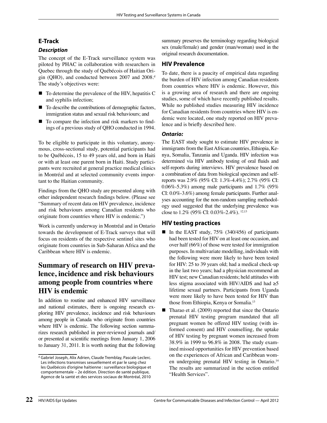#### **E-Track**

#### **Description**

The concept of the E-Track surveillance system was piloted by PHAC in collaboration with researchers in Quebec through the study of Québécois of Haitian Origin (OHO), and conducted between 2007 and 2008.<sup>d</sup> The study's objectives were:

- To determine the prevalence of the HIV, hepatitis C and syphilis infection;
- To describe the contributions of demographic factors, immigration status and sexual risk behaviours; and
- To compare the infection and risk markers to findings of a previous study of QHO conducted in 1994.

To be eligible to participate in this voluntary, anonymous, cross-sectional study, potential participants had to be Québécois, 15 to 49 years old, and born in Haiti or with at least one parent born in Haiti. Study participants were recruited at general practice medical clinics in Montréal and at selected community events important to the Haitian community.

Findings from the QHO study are presented along with other independent research findings below. (Please see "Summary of recent data on HIV prevalence, incidence and risk behaviours among Canadian residents who originate from countries where HIV is endemic.")

Work is currently underway in Montréal and in Ontario towards the development of E-Track surveys that will focus on residents of the respective sentinel sites who originate from countries in Sub-Saharan Africa and the Caribbean where HIV is endemic.

# **Summary of research on HIV prevalence, incidence and risk behaviours among people from countries where HIV is endemic**

In addition to routine and enhanced HIV surveillance and national estimates, there is ongoing research exploring HIV prevalence, incidence and risk behaviours among people in Canada who originate from countries where HIV is endemic. The following section summarizes research published in peer-reviewed journals and/ or presented at scientific meetings from January 1, 2006 to January 31, 2011. It is worth noting that the following summary preserves the terminology regarding biological sex (male/female) and gender (man/woman) used in the original research documentation.

#### **HIV Prevalence**

To date, there is a paucity of empirical data regarding the burden of HIV infection among Canadian residents from countries where HIV is endemic. However, this is a growing area of research and there are ongoing studies, some of which have recently published results. While no published studies measuring HIV incidence for Canadian residents from countries where HIV is endemic were located, one study reported on HIV prevalence and is briefly described here.

#### **Ontario:**

The EAST study sought to estimate HIV prevalence in immigrants from the East African countries, Ethiopia, Kenya, Somalia, Tanzania and Uganda. HIV infection was determined via HIV antibody testing of oral fluids and self-reports during interviews. HIV prevalence based on a combination of data from biological specimen and selfreports was 2.9% (95% CI: 1.3%-4.4%); 2.7% (95% CI: 0.06%-5.3%) among male participants and 1.7% (95% CI: 0.0%-3.6%) among female participants. Further analyses accounting for the non-random sampling methodology used suggested that the underlying prevalence was close to 1.2% (95% CI: 0.03%-2.4%). 12,13

#### **HIV testing practices**

- In the EAST study,  $75\%$  (340/456) of participants had been tested for HIV on at least one occasion, and over half (66%) of those were tested for immigration purposes. In multivariate modelling, individuals with the following were more likely to have been tested for HIV: 25 to 39 years old; had a medical check-up in the last two years; had a physician recommend an HIV test; new Canadian residents; held attitudes with less stigma associated with HIV/AIDS and had  $\geq 5$ lifetime sexual partners. Participants from Uganda were more likely to have been tested for HIV than those from Ethiopia, Kenya or Somalia.13
- Tharao et al. (2009) reported that since the Ontario prenatal HIV testing program mandated that all pregnant women be offered HIV testing (with informed consent) and HIV counselling, the uptake of HIV testing by pregnant women increased from 38.9% in 1999 to 96.8% in 2008. The study examined missed opportunities for HIV prevention based on the experiences of African and Caribbean women undergoing prenatal HIV testing in Ontario.<sup>14</sup> The results are summarized in the section entitled "Health Services".

d Gabriel Joseph, Alix Adrien, Claude Tremblay, Pascale Leclerc. Les infections transmises sexuellement et par le sang chez les Québécois d'origine haïtienne : surveillance biologique et comportementale – 2e édition. Direction de santé publique, Agence de la santé et des services sociaux de Montréal, 2010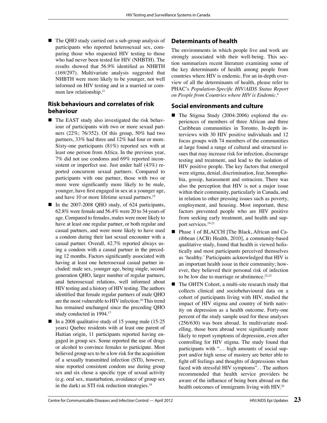■ The QHO study carried out a sub-group analysis of participants who reported heterosexual sex, comparing those who requested HIV testing to those who had never been tested for HIV (NHBTH). The results showed that  $56.9\%$  identified as NHBTH (169/297). Multivariate analysis suggested that NHBTH were more likely to be younger, not well informed on HIV testing and in a married or common law relationship.<sup>11</sup>

#### **Risk behaviours and correlates of risk behaviour**

- The EAST study also investigated the risk behaviour of participants with two or more sexual partners (22%; 76/352). Of this group, 50% had two partners, 33% had three and 12% had four or more. Sixty-one participants (81%) reported sex with at least one person from Africa. In the previous year, 7% did not use condoms and 69% reported inconsistent or imperfect use. Just under half (43%) reported concurrent sexual partners. Compared to participants with one partner, those with two or more were significantly more likely to be male, younger, have first engaged in sex at a younger age, and have 10 or more lifetime sexual partners.<sup>15</sup>
- In the 2007-2008 QHO study, of 624 participants, 62.8% were female and 56.4% were 20 to 34 years of age. Compared to females, males were more likely to have at least one regular partner, or both regular and casual partners, and were more likely to have used a condom during their last sexual encounter with a casual partner. Overall, 42.7% reported always using a condom with a casual partner in the preceding 12 months. Factors significantly associated with having at least one heterosexual casual partner included: male sex, younger age, being single, second generation QHO, larger number of regular partners, anal heterosexual relations, well informed about HIV testing and a history of HIV testing. The authors identified that female regular partners of male QHO are the most vulnerable to HIV infection.16 This trend has remained unchanged since the preceding QHO study conducted in 1994.17
- In a 2008 qualitative study of 15 young male  $(15-25)$ years) Quebec residents with at least one parent of Haitian origin, 11 participants reported having engaged in group sex. Some reported the use of drugs or alcohol to convince females to participate. Most believed group sex to be a low risk for the acquisition of a sexually transmitted infection (STI), however, nine reported consistent condom use during group sex and six chose a specific type of sexual activity (e.g. oral sex, masturbation, avoidance of group sex in the dark) as STI risk reduction strategies. $18$

#### **Determinants of health**

The environments in which people live and work are strongly associated with their well-being. This section summarizes recent literature examining some of the key determinants of health among people from countries where HIV is endemic. For an in-depth overview of all the determinants of health, please refer to PHAC's *Population-Specific HIV/AIDS Status Report on People from Countries where HIV is Endemic*. 4

#### **Social environments and culture**

- The Stigma Study (2004-2006) explored the experiences of members of three African and three Caribbean communities in Toronto. In-depth interviews with 30 HIV positive individuals and 12 focus groups with 74 members of the communities at large found a range of cultural and structural issues that may increase risk for infection, discourage testing and treatment, and lead to the isolation of HIV positive people. The key factors that emerged were stigma, denial, discrimination, fear, homophobia, gossip, harassment and ostracism. There was also the perception that HIV is not a major issue within their community, particularly in Canada, and in relation to other pressing issues such as poverty, employment, and housing. Most important, these factors prevented people who are HIV positive from seeking early treatment, and health and support services.19-21
- Phase 1 of BLACCH [The Black, African and Caribbean (ACB) Health, 2010], a community-based qualitative study, found that health is viewed holistically and most participants perceived themselves as 'healthy.' Participants acknowledged that HIV is an important health issue in their community; however, they believed their personal risk of infection to be low due to marriage or abstinence. $22,23$
- The OHTN Cohort, a multi-site research study that collects clinical and sociobehavioural data on a cohort of participants living with HIV, studied the impact of HIV stigma and country of birth nativity on depression as a health outcome. Forty-one percent of the study sample used for these analyses (256/630) was born abroad. In multivariate modelling, those born abroad were significantly more likely to report symptoms of depression, even after controlling for HIV stigma. The study found that participants with "… high amounts of social support and/or high sense of mastery are better able to fight off feelings and thoughts of depressions when faced with stressful HIV symptoms". . The authors recommended that health service providers be aware of the influence of being born abroad on the health outcomes of immigrants living with HIV.<sup>24</sup>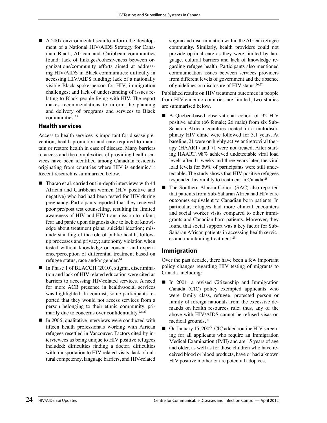A 2007 environmental scan to inform the development of a National HIV/AIDS Strategy for Canadian Black, African and Caribbean communities found: lack of linkages/cohesiveness between organizations/community efforts aimed at addressing HIV/AIDS in Black communities; difficulty in accessing HIV/AIDS funding; lack of a nationally visible Black spokesperson for HIV; immigration challenges; and lack of understanding of issues relating to Black people living with HIV. The report makes recommendations to inform the planning and delivery of programs and services to Black communities.25

#### **Health services**

Access to health services is important for disease prevention, health promotion and care required to maintain or restore health in case of disease. Many barriers to access and the complexities of providing health services have been identified among Canadian residents originating from countries where HIV is endemic.<sup>4,19</sup> Recent research is summarized below.

- Tharao et al. carried out in-depth interviews with 44 African and Caribbean women (HIV positive and negative) who had had been tested for HIV during pregnancy. Participants reported that they received poor pre/post test counselling, resulting in: limited awareness of HIV and HIV transmission to infant; fear and panic upon diagnosis due to lack of knowledge about treatment plans; suicidal ideation; misunderstanding of the role of public health, followup processes and privacy; autonomy violation when tested without knowledge or consent; and experience/perception of differential treatment based on refugee status, race and/or gender.<sup>14</sup>
- In Phase 1 of BLACCH (2010), stigma, discrimination and lack of HIV related education were cited as barriers to accessing HIV-related services. A need for more ACB presence in health/social services was highlighted. In contrast, some participants reported that they would not access services from a person belonging to their ethnic community, primarily due to concerns over confidentiality.<sup>22, 23</sup>
- $\blacksquare$  In 2006, qualitative interviews were conducted with fifteen health professionals working with African refugees resettled in Vancouver. Factors cited by interviewees as being unique to HIV positive refugees included: difficulties finding a doctor, difficulties with transportation to HIV-related visits, lack of cultural competency, language barriers, and HIV-related

stigma and discrimination within the African refugee community. Similarly, health providers could not provide optimal care as they were limited by language, cultural barriers and lack of knowledge regarding refugee health. Participants also mentioned communication issues between services providers from different levels of government and the absence of guidelines on disclosure of HIV status.<sup>26,27</sup>

Published results on HIV treatment outcomes in people from HIV-endemic countries are limited; two studies are summarised below.

- A Quebec-based observational cohort of 92 HIV positive adults (66 female; 26 male) from six Sub-Saharan African countries treated in a multidisciplinary HIV clinic were followed for 3.1 years. At baseline, 21 were on highly active antiretroviral therapy (HAART) and 71 were not treated. After starting HAART, 98% achieved undetectable viral load levels after 11 weeks and three years later, the viral load levels for 59% of participants were still undetectable. The study shows that HIV positive refugees responded favourably to treatment in Canada.28
- The Southern Alberta Cohort (SAC) also reported that patients from Sub-Saharan Africa had HIV care outcomes equivalent to Canadian born patients. In particular, refugees had more clinical encounters and social worker visits compared to other immigrants and Canadian born patients. Moreover, they found that social support was a key factor for Sub-Saharan African patients in accessing health services and maintaining treatment.29

#### **Immigration**

Over the past decade, there have been a few important policy changes regarding HIV testing of migrants to Canada, including:

- In 2001, a revised Citizenship and Immigration Canada (CIC) policy exempted applicants who were family class, refugee, protected person or family of foreign nationals from the excessive demands on health resources rule; thus, any of the above with HIV/AIDS cannot be refused visas on medical grounds.30
- On January 15, 2002, CIC added routine HIV screening for all applicants who require an Immigration Medical Examination (IME) and are 15 years of age and older, as well as for those children who have received blood or blood products, have or had a known HIV positive mother or are potential adoptees.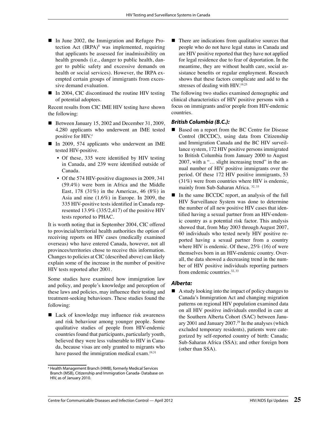- In June 2002, the Immigration and Refugee Protection Act (IRPA)<sup>8</sup> was implemented, requiring that applicants be assessed for inadmissibility on health grounds (i.e., danger to public health, danger to public safety and excessive demands on health or social services). However, the IRPA exempted certain groups of immigrants from excessive demand evaluation.
- $\blacksquare$  In 2004, CIC discontinued the routine HIV testing of potential adoptees.

Recent results from CIC IME HIV testing have shown the following:

- Between January 15, 2002 and December 31, 2009, 4,280 applicants who underwent an IME tested positive for HIV.<sup>e</sup>
- In 2009, 574 applicants who underwent an IME tested HIV-positive.
	- Of these, 335 were identified by HIV testing in Canada, and 239 were identified outside of Canada.
	- Of the 574 HIV-positive diagnoses in 2009, 341 (59.4%) were born in Africa and the Middle East, 178 (31%) in the Americas, 46 (8%) in Asia and nine (1.6%) in Europe. In 2009, the 335 HIV-positive tests identified in Canada represented 13.9% (335/2,417) of the positive HIV tests reported to PHAC.

It is worth noting that in September 2004, CIC offered to provincial/territorial health authorities the option of receiving reports on HIV cases (medically examined overseas) who have entered Canada, however, not all provinces/territories chose to receive this information. Changes to policies at CIC (described above) can likely explain some of the increase in the number of positive HIV tests reported after 2001.

Some studies have examined how immigration law and policy, and people's knowledge and perception of these laws and policies, may influence their testing and treatment-seeking behaviours. These studies found the following:

 $\blacksquare$  Lack of knowledge may influence risk awareness and risk behaviour among younger people. Some qualitative studies of people from HIV-endemic countries found that participants, particularly youth, believed they were less vulnerable to HIV in Canada, because visas are only granted to migrants who have passed the immigration medical exam.<sup>19,31</sup>

 There are indications from qualitative sources that people who do not have legal status in Canada and are HIV positive reported that they have not applied for legal residence due to fear of deportation. In the meantime, they are without health care, social assistance benefits or regular employment. Research shows that these factors complicate and add to the stresses of dealing with HIV.<sup>19,25</sup>

The following two studies examined demographic and clinical characteristics of HIV positive persons with a focus on immigrants and/or people from HIV-endemic countries.

#### **British Columbia (B.C.):**

- Based on a report from the BC Centre for Disease Control (BCCDC), using data from Citizenship and Immigration Canada and the BC HIV surveillance system, 172 HIV positive persons immigrated to British Columbia from January 2000 to August 2007, with a "… slight increasing trend" in the annual number of HIV positive immigrants over the period. Of these 172 HIV positive immigrants, 53 (31%) were from countries where HIV is endemic, mainly from Sub-Saharan Africa. 32, 33
- In the same BCCDC report, an analysis of the full HIV Surveillance System was done to determine the number of all new positive HIV cases that identified having a sexual partner from an HIV-endemic country as a potential risk factor. This analysis showed that, from May 2003 through August 2007, 60 individuals who tested newly HIV positive reported having a sexual partner from a country where HIV is endemic. Of these, 25% (16) of were themselves born in an HIV-endemic country. Overall, the data showed a decreasing trend in the number of HIV positive individuals reporting partners from endemic countries.<sup>32, 33</sup>

#### **Alberta:**

■ A study looking into the impact of policy changes to Canada's Immigration Act and changing migration patterns on regional HIV population examined data on all HIV positive individuals enrolled in care at the Southern Alberta Cohort (SAC) between January 2001 and January 2007.<sup>29</sup> In the analyses (which excluded temporary residents), patients were categorized by self-reported country of birth: Canada; Sub-Saharan Africa (SSA); and other foreign born (other than SSA).

<sup>e</sup> Health Management Branch (HMB), formerly Medical Services Branch (MSB), Citizenship and Immigration Canada- Database on HIV, as of January 2010.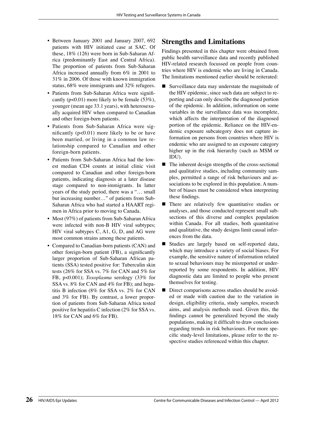- Between January 2001 and January 2007, 692 patients with HIV initiated case at SAC. Of these, 18% (126) were born in Sub-Saharan Africa (predominantly East and Central Africa). The proportion of patients from Sub-Saharan Africa increased annually from 6% in 2001 to 31% in 2006. Of those with known immigration status, 68% were immigrants and 32% refugees.
- Patients from Sub-Saharan Africa were significantly (p<0.01) more likely to be female (53%), younger (mean age 33.1 years), with heterosexually acquired HIV when compared to Canadian and other foreign-born patients.
- Patients from Sub-Saharan Africa were significantly ( $p<0.01$ ) more likely to be or have been married, or living in a common law relationship compared to Canadian and other foreign-born patients.
- Patients from Sub-Saharan Africa had the lowest median CD4 counts at initial clinic visit compared to Canadian and other foreign-born patients, indicating diagnosis at a later disease stage compared to non-immigrants. In latter years of the study period, there was a "… small but increasing number…" of patients from Sub-Saharan Africa who had started a HAART regimen in Africa prior to moving to Canada.
- Most (97%) of patients from Sub-Saharan Africa were infected with non-B HIV viral subtypes; HIV viral subtypes C, A1, G, D, and AG were most common strains among these patients.
- Compared to Canadian-born patients (CAN) and other foreign-born patient (FB), a significantly larger proportion of Sub-Saharan African patients (SSA) tested positive for: Tuberculin skin tests (26% for SSA vs. 7% for CAN and 5% for FB, p<0.001); *Toxoplasma* serology (33% for SSA vs. 8% for CAN and 4% for FB); and hepatitis B infection (8% for SSA vs. 2% for CAN and 3% for FB). By contrast, a lower proportion of patients from Sub-Saharan Africa tested positive for hepatitis C infection (2% for SSA vs. 18% for CAN and 6% for FB).

#### **Strengths and Limitations**

Findings presented in this chapter were obtained from public health surveillance data and recently published HIV-related research focussed on people from countries where HIV is endemic who are living in Canada. The limitations mentioned earlier should be reiterated:

- Surveillance data may understate the magnitude of the HIV epidemic, since such data are subject to reporting and can only describe the diagnosed portion of the epidemic. In addition, information on some variables in the surveillance data was incomplete, which affects the interpretation of the diagnosed portion of the epidemic. Reliance on the HIV-endemic exposure subcategory does not capture information on persons from countries where HIV is endemic who are assigned to an exposure category higher up in the risk hierarchy (such as MSM or IDU).
- The inherent design strengths of the cross-sectional and qualitative studies, including community samples, permitted a range of risk behaviours and associations to be explored in this population. A number of biases must be considered when interpreting these findings.
- There are relatively few quantitative studies or analyses, and those conducted represent small subsections of this diverse and complex population within Canada. For all studies, both quantitative and qualitative, the study designs limit causal inferences from the data.
- Studies are largely based on self-reported data, which may introduce a variety of social biases. For example, the sensitive nature of information related to sexual behaviours may be misreported or underreported by some respondents. In addition, HIV diagnostic data are limited to people who present themselves for testing.
- Direct comparisons across studies should be avoided or made with caution due to the variation in design, eligibility criteria, study samples, research aims, and analysis methods used. Given this, the findings cannot be generalized beyond the study populations, making it difficult to draw conclusions regarding trends in risk behaviours. For more specific study-level limitations, please refer to the respective studies referenced within this chapter.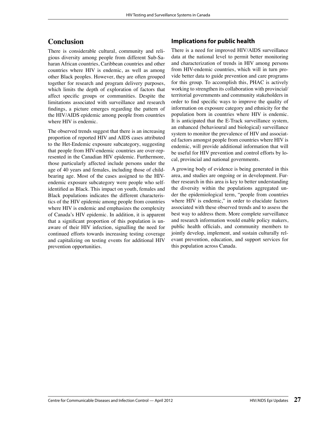### **Conclusion**

There is considerable cultural, community and religious diversity among people from different Sub-Saharan African countries, Caribbean countries and other countries where HIV is endemic, as well as among other Black peoples. However, they are often grouped together for research and program delivery purposes, which limits the depth of exploration of factors that affect specific groups or communities. Despite the limitations associated with surveillance and research findings, a picture emerges regarding the pattern of the HIV/AIDS epidemic among people from countries where HIV is endemic.

The observed trends suggest that there is an increasing proportion of reported HIV and AIDS cases attributed to the Het-Endemic exposure subcategory, suggesting that people from HIV-endemic countries are over-represented in the Canadian HIV epidemic. Furthermore, those particularly affected include persons under the age of 40 years and females, including those of childbearing age. Most of the cases assigned to the HIVendemic exposure subcategory were people who selfidentified as Black. This impact on youth, females and Black populations indicates the different characteristics of the HIV epidemic among people from countries where HIV is endemic and emphasizes the complexity of Canada's HIV epidemic. In addition, it is apparent that a significant proportion of this population is unaware of their HIV infection, signalling the need for continued efforts towards increasing testing coverage and capitalizing on testing events for additional HIV prevention opportunities.

#### **Implications for public health**

There is a need for improved HIV/AIDS surveillance data at the national level to permit better monitoring and characterization of trends in HIV among persons from HIV-endemic countries, which will in turn provide better data to guide prevention and care programs for this group. To accomplish this, PHAC is actively working to strengthen its collaboration with provincial/ territorial governments and community stakeholders in order to find specific ways to improve the quality of information on exposure category and ethnicity for the population born in countries where HIV is endemic. It is anticipated that the E-Track surveillance system, an enhanced (behavioural and biological) surveillance system to monitor the prevalence of HIV and associated factors amongst people from countries where HIV is endemic, will provide additional information that will be useful for HIV prevention and control efforts by local, provincial and national governments.

A growing body of evidence is being generated in this area, and studies are ongoing or in development. Further research in this area is key to better understanding the diversity within the populations aggregated under the epidemiological term, "people from countries where HIV is endemic," in order to elucidate factors associated with these observed trends and to assess the best way to address them. More complete surveillance and research information would enable policy makers, public health officials, and community members to jointly develop, implement, and sustain culturally relevant prevention, education, and support services for this population across Canada.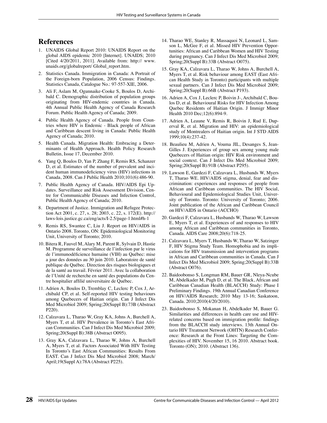## **References**

- 1. UNAIDS Global Report 2010: UNAIDS Report on the global AIDS epidemic 2010 [Internet]. UNAIDS; 2010 [Cited 4/20/2011, 2011]. Available from: http:// www. unaids.org/globalreport/ Global\_report.htm.
- 2. Statistics Canada. Immigration in Canada: A Portrait of the Foreign-born Population, 2006 Census: Findings. Statistics Canada, Catalogue No.: 97-557-XIE, 2006.
- 3. Ali F, Aslam M, Ogunnaike-Cooke S, Boulos D, Archibald C. Demographic distribution of population groups originating from HIV-endemic countries in Canada. 4th Annual Public Health Agency of Canada Research Forum. Public Health Agency of Canada; 2009.
- 4. Public Health Agency of Canada. People from Countries where HIV is Endemic - Black people of African and Caribbean descent living in Canada: Public Health Agency of Canada; 2010.
- 5. Health Canada. Migration Health: Embracing a Determinants of Health Approach. Health Policy Research Bulletin, Issue 17, December 2010.
- 6. Yang Q, Boulos D, Yan P, Zhang F, Remis RS, Schanzer D, et al. Estimates of the number of prevalent and incident human immunodeficiency virus (HIV) infections in Canada, 2008. Can J Public Health 2010;101(6):486-90.
- 7. Public Health Agency of Canada. HIV/AIDS Epi Updates. Surveillance and Risk Assessment Division, Centre for Communicable Diseases and Infection Control, Public Health Agency of Canada; 2010.
- 8. Department of Justice. Immigration and Refugee Protection Act 2001, c. 27, s. 28; 2003, c. 22, s. 172(E). http:// laws-lois.justice.gc.ca/eng/acts/I-2.5/page-1.html#h-1
- 9. Remis RS, Swantee C, Liu J. Report on HIV/AIDS in Ontario 2008. Toronto, ON: Epidemiological Monitoring Unit, University of Toronto; 2010.
- 10. Bitera R, Fauvel M, Alary M, Parent R, Sylvain D, Hastie M. Programme de surveillance de l'infection par le virus de l'immunodéficience humaine (VIH) au Québec: mise a jour des données au 30 juin 2010. Laboratoire de santé publique du Québec. Direction des risques biologiques et de la santé au travail. Février 2011. Avec la collaboration de l'Unité de recherche en santé des populations du Centre hospitalier affilié universitaire de Québec.
- 11. Adrien A, Boulos D, Tremblay C, Leclerc P, Cox J, Archibald CP, et al. Self-reported HIV testing behaviours among Quebecers of Haitian origin. Can J Infect Dis Med Microbiol 2009; Spring;20(Suppl B):73B (Abstract P220).
- 12. Calzavara L, Tharao W, Gray KA, Johns A, Burchell A, Myers T, et al. HIV Prevalence in Toronto's East African Communities. Can J Infect Dis Med Microbiol 2009; Spring;20(Suppl B):38B (Abstract O095).
- 13. Gray KA, Calzavara L, Tharao W, Johns A, Burchell A, Myers T, et al. Factors Associated With HIV Testing In Toronto's East African Communities: Results From EAST. Can J Infect Dis Med Microbiol 2008; March/ April;19(Suppl A):78A (Abstract P225).
- 14. Tharao WE, Stanley R, Massaquoi N, Leonard L, Samson L, McGee F, et al. Missed HIV Prevention Opportunities: African and Caribbean Women and HIV Testing during pregnancy. Can J Infect Dis Med Microbiol 2009; Spring;20(Suppl B):33B (Abstract O075).
- 15. Gray KA, Calzavara L, Tharao W, Johns A, Burchell A, Myers T, et al. Risk behaviour among EAST (East African Health Study in Toronto) participants with multiple sexual partners. Can J Infect Dis Med Microbiol 2009; Spring;20(Suppl B):66B (Abstract P193).
- 16. Adrien A, Cox J, Leclerc P, Boivin J-, Archibald C, Boulos D, et al. Behavioural Risks for HIV Infection Among Quebec Residents of Haitian Origin. J Immigr Minor Health 2010 Dec;12(6):894-9.
- 17. Adrien A, Leaune V, Remis R, Boivin J, Rud E, Duperval R, et al. Migration and HIV: an epidemiological study of Montrealers of Haitian origin. Int J STD AIDS 1999;10(4):237-42.
- 18. Beaulieu M, Adrien A, Vouma JIL, Desanges S, Jean-Gilles J. Experiences of group sex among young male Quebecers of Haitian origin: HIV Risk environment and social context. Can J Infect Dis Med Microbiol 2009; Spring;20(Suppl B):91B (Abstract P295).
- 19. Lawson E, Gardezi F, Calzavara L, Husbands W, Myers T, Tharao WE. HIV/AIDS stigma, denial, fear and discrimination: experiences and responses of people from African and Caribbean communities. The HIV Social, Behavioural and Epidemiological Studies Unit, University of Toronto. Toronto: University of Toronto; 2006. Joint publication of the African and Caribbean Council on HIV/AIDS in Ontario (ACCHO)
- 20. Gardezi F, Calzavara L, Husbands W, Tharao W, Lawson E, Myers T, et al. Experiences of and responses to HIV among African and Caribbean communities in Toronto, Canada. AIDS Care 2008;20(6):718-25.
- 21. Calzavara L, Myers T, Husbands W, Tharao W, Satzinger F, HIV Stigma Study Team. Homophobia and its implications for HIV transmission and intervention programs in African and Caribbean communities in Canada. Can J Infect Dis Med Microbiol 2009; Spring;20(Suppl B):33B (Abstract O076).
- 22. Baidoobonso S, Longman RM, Bauer GR, Nleya-Ncube M, Abdelkader M, Pugh D, et al. The Black, African and Caribbean Canadian Health (BLACCH) Study: Phase I Preliminary Findings. 19th Annual Canadian Conference on HIV/AIDS Research; 2010 May 13-16; Saskatoon, Canada. 2010;2010(4/20/2010).
- 23. Baidoobonso S, Mokanan H, Abdelkader M, Bauer G. Similarities and differences in health care use and HIVrelated concerns based on immigration profile: findings from the BLACCH study interviews. 13th Annual Ontario HIV Treatment Network (OHTN) Research Conference: Research at the Front Lines: Targeting the Complexities of HIV. November 15, 16 2010. Abstract book. Toronto (ON); 2010. (Abstract 136).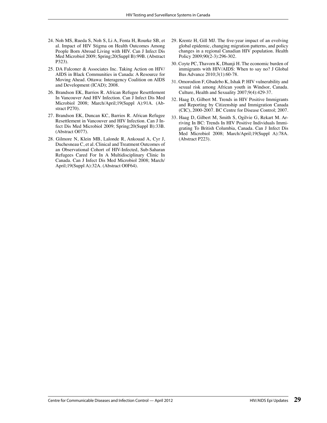- 24. Noh MS, Rueda S, Noh S, Li A, Fenta H, Rourke SB, et al. Impact of HIV Stigma on Health Outcomes Among People Born Abroad Living with HIV. Can J Infect Dis Med Microbiol 2009; Spring;20(Suppl B):99B. (Abstract P323).
- 25. DA Falconer & Associates Inc. Taking Action on HIV/ AIDS in Black Communities in Canada: A Resource for Moving Ahead. Ottawa: Interagency Coalition on AIDS and Development (ICAD); 2008.
- 26. Brandson EK, Barrios R. African Refugee Resettlement In Vancouver And HIV Infection. Can J Infect Dis Med Microbiol 2008; March/April;19(Suppl A):91A. (Abstract P270).
- 27. Brandson EK, Duncan KC, Barrios R. African Refugee Resettlement in Vancouver and HIV Infection. Can J Infect Dis Med Microbiol 2009; Spring;20(Suppl B):33B. (Abstract O077).
- 28. Gilmore N, Klein MB, Lalonde R, Ankouad A, Cyr J, Duchesneau C, et al. Clinical and Treatment Outcomes of an Observational Cohort of HIV-Infected, Sub-Saharan Refugees Cared For In A Multidisciplinary Clinic In Canada. Can J Infect Dis Med Microbiol 2008; March/ April;19(Suppl A):32A. (Abstract O0F64).
- 29. Krentz H, Gill MJ. The five-year impact of an evolving global epidemic, changing migration patterns, and policy changes in a regional Canadian HIV population. Health Policy 2009;90(2-3):296-302.
- 30. Coyte PC, Thavorn K, Dhanji H. The economic burden of immigrants with HIV/AIDS: When to say no? J Global Bus Advance 2010;3(1):60-78.
- 31. Omorodion F, Gbadebo K, Ishak P. HIV vulnerability and sexual risk among African youth in Windsor, Canada. Culture, Health and Sexuality 2007;9(4):429-37.
- 32. Haag D, Gilbert M. Trends in HIV Positive Immigrants and Reporting by Citizenship and Immigration Canada (CIC), 2000-2007. BC Centre for Disease Control; 2007.
- 33. Haag D, Gilbert M, Smith S, Ogilvie G, Rekart M. Arriving In BC: Trends In HIV Positive Individuals Immigrating To British Columbia, Canada. Can J Infect Dis Med Microbiol 2008; March/April;19(Suppl A):78A. (Abstract P223).